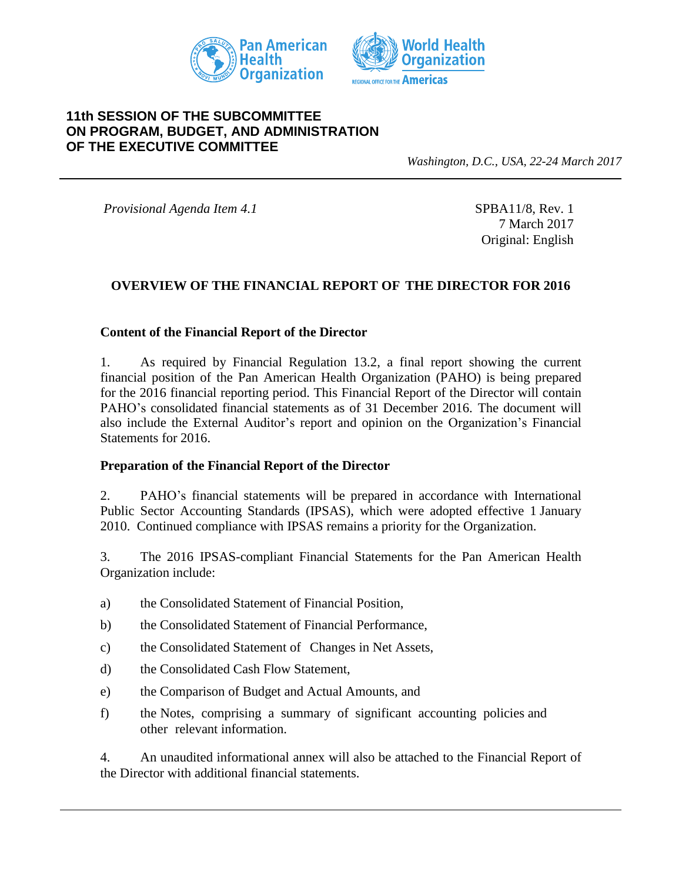



### **11th SESSION OF THE SUBCOMMITTEE ON PROGRAM, BUDGET, AND ADMINISTRATION OF THE EXECUTIVE COMMITTEE**

*Washington, D.C., USA, 22-24 March 2017*

*Provisional Agenda Item 4.1* SPBA11/8, Rev. 1

7 March 2017 Original: English

### **OVERVIEW OF THE FINANCIAL REPORT OF THE DIRECTOR FOR 2016**

#### **Content of the Financial Report of the Director**

1. As required by Financial Regulation 13.2, a final report showing the current financial position of the Pan American Health Organization (PAHO) is being prepared for the 2016 financial reporting period. This Financial Report of the Director will contain PAHO's consolidated financial statements as of 31 December 2016. The document will also include the External Auditor's report and opinion on the Organization's Financial Statements for 2016.

#### **Preparation of the Financial Report of the Director**

2. PAHO's financial statements will be prepared in accordance with International Public Sector Accounting Standards (IPSAS), which were adopted effective 1 January 2010. Continued compliance with IPSAS remains a priority for the Organization.

3. The 2016 IPSAS-compliant Financial Statements for the Pan American Health Organization include:

- a) the Consolidated Statement of Financial Position,
- b) the Consolidated Statement of Financial Performance,
- c) the Consolidated Statement of Changes in Net Assets,
- d) the Consolidated Cash Flow Statement,
- e) the Comparison of Budget and Actual Amounts, and
- f) the Notes, comprising a summary of significant accounting policies and other relevant information.

4. An unaudited informational annex will also be attached to the Financial Report of the Director with additional financial statements.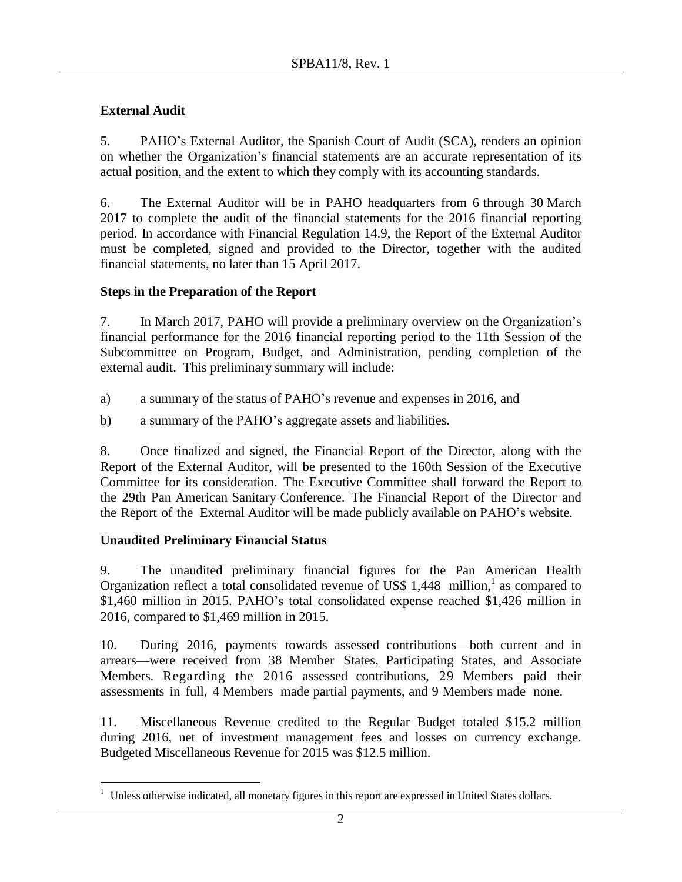# **External Audit**

5. PAHO's External Auditor, the Spanish Court of Audit (SCA), renders an opinion on whether the Organization's financial statements are an accurate representation of its actual position, and the extent to which they comply with its accounting standards.

6. The External Auditor will be in PAHO headquarters from 6 through 30 March 2017 to complete the audit of the financial statements for the 2016 financial reporting period. In accordance with Financial Regulation 14.9, the Report of the External Auditor must be completed, signed and provided to the Director, together with the audited financial statements, no later than 15 April 2017.

# **Steps in the Preparation of the Report**

7. In March 2017, PAHO will provide a preliminary overview on the Organization's financial performance for the 2016 financial reporting period to the 11th Session of the Subcommittee on Program, Budget, and Administration, pending completion of the external audit. This preliminary summary will include:

- a) a summary of the status of PAHO's revenue and expenses in 2016, and
- b) a summary of the PAHO's aggregate assets and liabilities.

8. Once finalized and signed, the Financial Report of the Director, along with the Report of the External Auditor, will be presented to the 160th Session of the Executive Committee for its consideration. The Executive Committee shall forward the Report to the 29th Pan American Sanitary Conference. The Financial Report of the Director and the Report of the External Auditor will be made publicly available on PAHO's website.

## **Unaudited Preliminary Financial Status**

9. The unaudited preliminary financial figures for the Pan American Health Organization reflect a total consolidated revenue of US\$ 1,448 million,<sup>1</sup> as compared to \$1,460 million in 2015. PAHO's total consolidated expense reached \$1,426 million in 2016, compared to \$1,469 million in 2015.

10. During 2016, payments towards assessed contributions—both current and in arrears—were received from 38 Member States, Participating States, and Associate Members. Regarding the 2016 assessed contributions, 29 Members paid their assessments in full, 4 Members made partial payments, and 9 Members made none.

11. Miscellaneous Revenue credited to the Regular Budget totaled \$15.2 million during 2016, net of investment management fees and losses on currency exchange. Budgeted Miscellaneous Revenue for 2015 was \$12.5 million.

 $\overline{a}$ <sup>1</sup> Unless otherwise indicated, all monetary figures in this report are expressed in United States dollars.